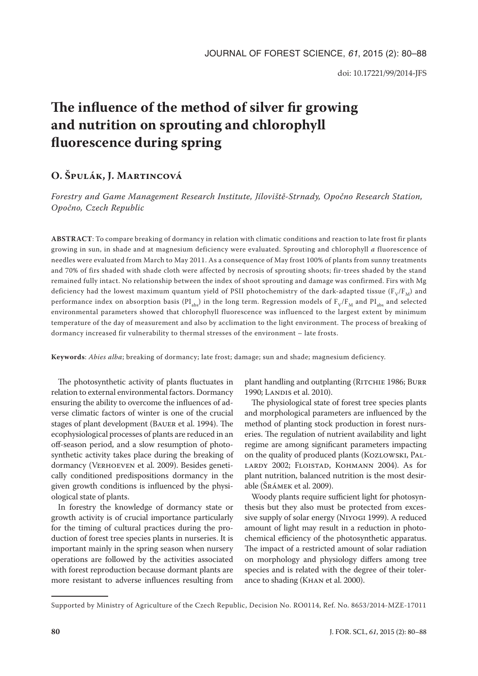# **The influence of the method of silver fir growing and nutrition on sprouting and chlorophyll fluorescence during spring**

## **O. Špulák, J. Martincová**

*Forestry and Game Management Research Institute, Jíloviště-Strnady, Opočno Research Station, Opočno, Czech Republic*

**ABSTRACT**: To compare breaking of dormancy in relation with climatic conditions and reaction to late frost fir plants growing in sun, in shade and at magnesium deficiency were evaluated. Sprouting and chlorophyll *a* fluorescence of needles were evaluated from March to May 2011. As a consequence of May frost 100% of plants from sunny treatments and 70% of firs shaded with shade cloth were affected by necrosis of sprouting shoots; fir-trees shaded by the stand remained fully intact. No relationship between the index of shoot sprouting and damage was confirmed. Firs with Mg deficiency had the lowest maximum quantum yield of PSII photochemistry of the dark-adapted tissue ( $F_V/F_M$ ) and performance index on absorption basis (PI<sub>abs</sub>) in the long term. Regression models of  $F_V/F_M$  and PI<sub>abs</sub> and selected environmental parameters showed that chlorophyll fluorescence was influenced to the largest extent by minimum temperature of the day of measurement and also by acclimation to the light environment. The process of breaking of dormancy increased fir vulnerability to thermal stresses of the environment – late frosts.

**Keywords**: *Abies alba*; breaking of dormancy; late frost; damage; sun and shade; magnesium deficiency.

The photosynthetic activity of plants fluctuates in relation to external environmental factors. Dormancy ensuring the ability to overcome the influences of adverse climatic factors of winter is one of the crucial stages of plant development (Bauer et al. 1994). The ecophysiological processes of plants are reduced in an off-season period, and a slow resumption of photosynthetic activity takes place during the breaking of dormancy (VERHOEVEN et al. 2009). Besides genetically conditioned predispositions dormancy in the given growth conditions is influenced by the physiological state of plants.

In forestry the knowledge of dormancy state or growth activity is of crucial importance particularly for the timing of cultural practices during the production of forest tree species plants in nurseries. It is important mainly in the spring season when nursery operations are followed by the activities associated with forest reproduction because dormant plants are more resistant to adverse influences resulting from plant handling and outplanting (RITCHIE 1986; BURR 1990; LANDIS et al. 2010).

The physiological state of forest tree species plants and morphological parameters are influenced by the method of planting stock production in forest nurseries. The regulation of nutrient availability and light regime are among significant parameters impacting on the quality of produced plants (Kozlowski, Pallardy 2002; Floistad, Kohmann 2004). As for plant nutrition, balanced nutrition is the most desirable (Šrámek et al. 2009).

Woody plants require sufficient light for photosynthesis but they also must be protected from excessive supply of solar energy (Niyogi 1999). A reduced amount of light may result in a reduction in photochemical efficiency of the photosynthetic apparatus. The impact of a restricted amount of solar radiation on morphology and physiology differs among tree species and is related with the degree of their tolerance to shading (Khan et al. 2000).

Supported by Ministry of Agriculture of the Czech Republic, Decision No. RO0114, Ref. No. 8653/2014-MZE-17011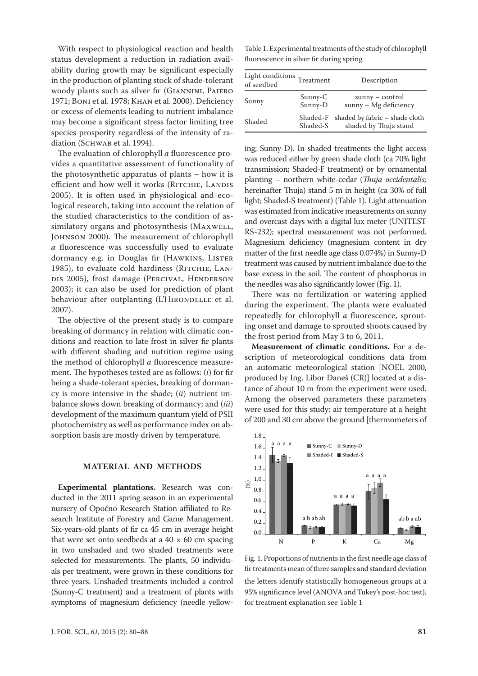With respect to physiological reaction and health status development a reduction in radiation availability during growth may be significant especially in the production of planting stock of shade-tolerant woody plants such as silver fir (Giannini, Paiero 1971; Boni et al. 1978; Khan et al. 2000). Deficiency or excess of elements leading to nutrient imbalance may become a significant stress factor limiting tree species prosperity regardless of the intensity of radiation (SCHWAB et al. 1994).

The evaluation of chlorophyll *a* fluorescence provides a quantitative assessment of functionality of the photosynthetic apparatus of plants – how it is efficient and how well it works (RITCHIE, LANDIS 2005). It is often used in physiological and ecological research, taking into account the relation of the studied characteristics to the condition of assimilatory organs and photosynthesis (MAXWELL, Johnson 2000). The measurement of chlorophyll *a* fluorescence was successfully used to evaluate dormancy e.g. in Douglas fir (HAWKINS, LISTER 1985), to evaluate cold hardiness (RITCHIE, LANdis 2005), frost damage (Percival, Henderson 2003); it can also be used for prediction of plant behaviour after outplanting (L'HIRONDELLE et al. 2007).

The objective of the present study is to compare breaking of dormancy in relation with climatic conditions and reaction to late frost in silver fir plants with different shading and nutrition regime using the method of chlorophyll *a* fluorescence measurement. The hypotheses tested are as follows: (*i*) for fir being a shade-tolerant species, breaking of dormancy is more intensive in the shade; (*ii*) nutrient imbalance slows down breaking of dormancy; and (*iii*) development of the maximum quantum yield of PSII photochemistry as well as performance index on absorption basis are mostly driven by temperature.

#### **MATERIAL AND METHODS**

**Experimental plantations.** Research was conducted in the 2011 spring season in an experimental nursery of Opočno Research Station affiliated to Research Institute of Forestry and Game Management. Six-years-old plants of fir ca 45 cm in average height that were set onto seedbeds at a  $40 \times 60$  cm spacing in two unshaded and two shaded treatments were selected for measurements. The plants, 50 individuals per treatment, were grown in these conditions for three years. Unshaded treatments included a control (Sunny-C treatment) and a treatment of plants with symptoms of magnesium deficiency (needle yellow-

Table 1. Experimental treatments of the study of chlorophyll fluorescence in silver fir during spring

| Light conditions Treatment<br>of seedbed |                      | Description                                             |
|------------------------------------------|----------------------|---------------------------------------------------------|
| Sunny                                    | $Sunny-C$<br>Sunny-D | $sumny - control$<br>sunny - Mg deficiency              |
| Shaded                                   | Shaded-F<br>Shaded-S | shaded by fabric – shade cloth<br>shaded by Thuja stand |

ing; Sunny-D). In shaded treatments the light access was reduced either by green shade cloth (ca 70% light transmission; Shaded-F treatment) or by ornamental planting – northern white-cedar (*Thuja occidentalis;*  hereinafter Thuja) stand 5 m in height (ca 30% of full light; Shaded-S treatment) (Table 1). Light attenuation was estimated from indicative measurements on sunny and overcast days with a digital lux meter (UNITEST RS-232); spectral measurement was not performed. Magnesium deficiency (magnesium content in dry matter of the first needle age class 0.074%) in Sunny-D treatment was caused by nutrient imbalance due to the base excess in the soil. The content of phosphorus in the needles was also significantly lower (Fig. 1).

There was no fertilization or watering applied during the experiment. The plants were evaluated repeatedly for chlorophyll *a* fluorescence, sprouting onset and damage to sprouted shoots caused by the frost period from May 3 to 6, 2011.

**Measurement of climatic conditions.** For a description of meteorological conditions data from an automatic meteorological station [NOEL 2000, produced by Ing. Libor Daneš (CR)] located at a distance of about 10 m from the experiment were used. Among the observed parameters these parameters were used for this study: air temperature at a height of 200 and 30 cm above the ground [thermometers of



Fig. 1. Proportions of nutrients in the first needle age class of fir treatments mean of three samples and standard deviation the letters identify statistically homogeneous groups at a 95% significance level (ANOVA and Tukey's post-hoc test), for treatment explanation see Table 1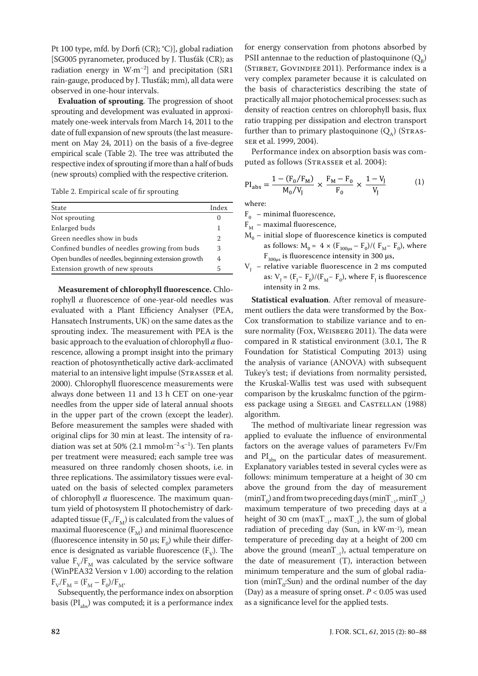Pt 100 type, mfd. by Dorfi (CR); °C)], global radiation [SG005 pyranometer, produced by J. Tlusťák (CR); as radiation energy in  $W·m<sup>-2</sup>$  and precipitation (SR1 rain-gauge, produced by J. Tlusťák; mm), all data were observed in one-hour intervals.

**Evaluation of sprouting**. The progression of shoot sprouting and development was evaluated in approximately one-week intervals from March 14, 2011 to the date of full expansion of new sprouts (the last measurement on May 24, 2011) on the basis of a five-degree empirical scale (Table 2). The tree was attributed the respective index of sprouting if more than a half of buds (new sprouts) complied with the respective criterion.

Table 2. Empirical scale of fir sprouting

| State                                               | Index            |  |
|-----------------------------------------------------|------------------|--|
| Not sprouting                                       | $\left( \right)$ |  |
| Enlarged buds                                       |                  |  |
| Green needles show in buds                          |                  |  |
| Confined bundles of needles growing from buds       |                  |  |
| Open bundles of needles, beginning extension growth |                  |  |
| Extension growth of new sprouts                     |                  |  |
|                                                     |                  |  |

**Measurement of chlorophyll fluorescence.** Chlorophyll *a* fluorescence of one-year-old needles was evaluated with a Plant Efficiency Analyser (PEA, Hansatech Instruments, UK) on the same dates as the sprouting index. The measurement with PEA is the basic approach to the evaluation of chlorophyll *a* fluorescence, allowing a prompt insight into the primary reaction of photosynthetically active dark-acclimated material to an intensive light impulse (STRASSER et al. 2000). Chlorophyll fluorescence measurements were always done between 11 and 13 h CET on one-year needles from the upper side of lateral annual shoots in the upper part of the crown (except the leader). Before measurement the samples were shaded with original clips for 30 min at least. The intensity of radiation was set at 50% (2.1 mmol $\cdot$ m<sup>-2</sup>·s<sup>-1</sup>). Ten plants per treatment were measured; each sample tree was measured on three randomly chosen shoots, i.e. in three replications. The assimilatory tissues were evaluated on the basis of selected complex parameters of chlorophyll *a* fluorescence. The maximum quantum yield of photosystem II photochemistry of darkadapted tissue ( $F_V/F_M$ ) is calculated from the values of maximal fluorescence  $(F_M)$  and minimal fluorescence (fluorescence intensity in 50  $\mu$ s; F<sub>0</sub>) while their difference is designated as variable fluorescence  $(F_v)$ . The value  $F_V/F_M$  was calculated by the service software (WinPEA32 Version v 1.00) according to the relation  $F_V/F_M = (F_M - F_0)/F_M$ .

Subsequently, the performance index on absorption basis  $(PI_{abc})$  was computed; it is a performance index

for energy conservation from photons absorbed by PSII antennae to the reduction of plastoquinone  $(Q_p)$ (STIRBET, GOVINDJEE 2011). Performance index is a very complex parameter because it is calculated on the basis of characteristics describing the state of practically all major photochemical processes: such as density of reaction centres on chlorophyll basis, flux ratio trapping per dissipation and electron transport further than to primary plastoquinone  $(Q_1)$  (STRASser et al. 1999, 2004).

Performance index on absorption basis was computed as follows (STRASSER et al. 2004):

$$
PI_{\rm abs} = \frac{1 - (F_0/F_M)}{M_0/V_J} \times \frac{F_M - F_0}{F_0} \times \frac{1 - V_J}{V_J}
$$
 (1)

where:

- $F_0$  minimal fluorescence,
- $F<sub>M</sub>$  maximal fluorescence,
- $M_0$  initial slope of fluorescence kinetics is computed as follows:  $M_0 = 4 \times (F_{300\mu s} - F_0)/(F_M - F_0)$ , where  $F_{300\mu s}$  is fluorescence intensity in 300  $\mu s$ ,
- $V<sub>T</sub>$  relative variable fluorescence in 2 ms computed as:  $V_{J} = (F_{J} - F_{0})/(F_{M} - F_{0})$ , where  $F_{J}$  is fluorescence intensity in 2 ms.

**Statistical evaluation**. After removal of measurement outliers the data were transformed by the Box-Cox transformation to stabilize variance and to ensure normality (Fox, WEISBERG 2011). The data were compared in R statistical environment (3.0.1, The R Foundation for Statistical Computing 2013) using the analysis of variance (ANOVA) with subsequent Tukey's test; if deviations from normality persisted, the Kruskal-Wallis test was used with subsequent comparison by the kruskalmc function of the pgirmess package using a SIEGEL and CASTELLAN (1988) algorithm.

The method of multivariate linear regression was applied to evaluate the influence of environmental factors on the average values of parameters Fv/Fm and  $PI<sub>abs</sub>$  on the particular dates of measurement. Explanatory variables tested in several cycles were as follows: minimum temperature at a height of 30 cm above the ground from the day of measurement  $(\text{minT}_0)$  and from two preceding days  $(\text{minT}_{-1}, \text{minT}_{-2})$ maximum temperature of two preceding days at a height of 30 cm (max $T_{-1}$ , max $T_{-2}$ ), the sum of global radiation of preceding day (Sun, in kW·m<sup>-2</sup>), mean temperature of preceding day at a height of 200 cm above the ground (mean $T_{-1}$ ), actual temperature on the date of measurement (T), interaction between minimum temperature and the sum of global radiation ( $minT_0$ :Sun) and the ordinal number of the day (Day) as a measure of spring onset. *P* < 0.05 was used as a significance level for the applied tests.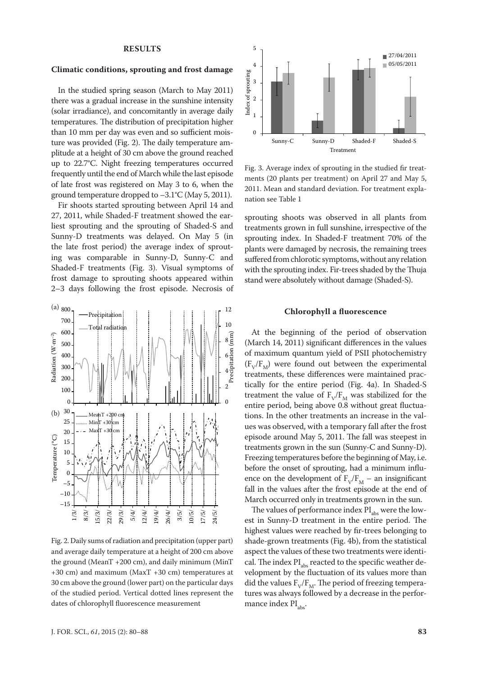#### **RESULTS**

#### **Climatic conditions, sprouting and frost damage**

In the studied spring season (March to May 2011) there was a gradual increase in the sunshine intensity (solar irradiance), and concomitantly in average daily temperatures. The distribution of precipitation higher than 10 mm per day was even and so sufficient moisture was provided (Fig. 2). The daily temperature amplitude at a height of 30 cm above the ground reached up to 22.7°C. Night freezing temperatures occurred frequently until the end of March while the last episode of late frost was registered on May 3 to 6, when the ground temperature dropped to –3.1°C (May 5, 2011).

Fir shoots started sprouting between April 14 and 27, 2011, while Shaded-F treatment showed the earliest sprouting and the sprouting of Shaded-S and Sunny-D treatments was delayed. On May 5 (in the late frost period) the average index of sprouting was comparable in Sunny-D, Sunny-C and Shaded-F treatments (Fig. 3). Visual symptoms of frost damage to sprouting shoots appeared within 2–3 days following the frost episode. Necrosis of



Fig. 2. Daily sums of radiation and precipitation (upper part) and average daily temperature at a height of 200 cm above the ground (MeanT +200 cm), and daily minimum (MinT +30 cm) and maximum (MaxT +30 cm) temperatures at 30 cm above the ground (lower part) on the particular days of the studied period. Vertical dotted lines represent the dates of chlorophyll fluorescence measurement



Fig. 3. Average index of sprouting in the studied fir treatments (20 plants per treatment) on April 27 and May 5, 2011. Mean and standard deviation. For treatment explanation see Table 1

sprouting shoots was observed in all plants from treatments grown in full sunshine, irrespective of the sprouting index. In Shaded-F treatment 70% of the plants were damaged by necrosis, the remaining trees suffered from chlorotic symptoms, without any relation with the sprouting index. Fir-trees shaded by the Thuja stand were absolutely without damage (Shaded-S).

#### **Chlorophyll a fluorescence**

At the beginning of the period of observation (March 14, 2011) significant differences in the values of maximum quantum yield of PSII photochemistry  $(F_v/F_M)$  were found out between the experimental treatments, these differences were maintained practically for the entire period (Fig. 4a). In Shaded-S treatment the value of  $F_V/F_M$  was stabilized for the entire period, being above 0.8 without great fluctuations. In the other treatments an increase in the values was observed, with a temporary fall after the frost episode around May 5, 2011. The fall was steepest in treatments grown in the sun (Sunny-C and Sunny-D). Freezing temperatures before the beginning of May, i.e. before the onset of sprouting, had a minimum influence on the development of  $F_v/F_M$  – an insignificant fall in the values after the frost episode at the end of March occurred only in treatments grown in the sun.

The values of performance index  $PI<sub>abs</sub>$  were the lowest in Sunny-D treatment in the entire period. The highest values were reached by fir-trees belonging to shade-grown treatments (Fig. 4b), from the statistical aspect the values of these two treatments were identical. The index  $PI<sub>abs</sub>$  reacted to the specific weather development by the fluctuation of its values more than did the values  $F_V/F_M$ . The period of freezing temperatures was always followed by a decrease in the performance index  $PI<sub>abc</sub>$ .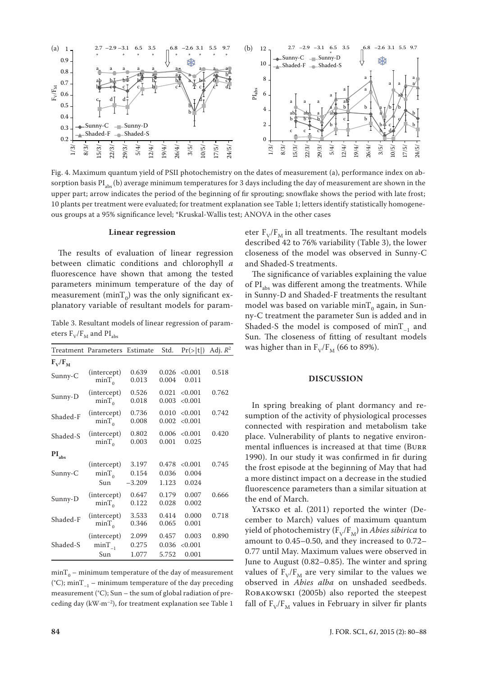

Fig. 4. Maximum quantum yield of PSII photochemistry on the dates of measurement (a), performance index on absorption basis PI<sub>abs</sub> (b) average minimum temperatures for 3 days including the day of measurement are shown in the upper part; arrow indicates the period of the beginning of fir sprouting; snowflake shows the period with late frost; 10 plants per treatment were evaluated; for treatment explanation see Table 1; letters identify statistically homogeneous groups at a 95% significance level; \*Kruskal-Wallis test; ANOVA in the other cases

#### **Linear regression**

The results of evaluation of linear regression between climatic conditions and chlorophyll *a* fluorescence have shown that among the tested parameters minimum temperature of the day of measurement (min $T_{\text{o}}$ ) was the only significant explanatory variable of resultant models for param-

Table 3. Resultant models of linear regression of parameters  $F_V/F_M$  and  $PI_{abs}$ 

|                            | Treatment Parameters              | Estimate                   | Std.                    | Pr(> t )                  | Adj. $R^2$ |
|----------------------------|-----------------------------------|----------------------------|-------------------------|---------------------------|------------|
| $F_V/F_M$                  |                                   |                            |                         |                           |            |
| Sunny-C                    | (intercept)<br>$minT_0$           | 0.639<br>0.013             | 0.026<br>0.004          | < 0.001<br>0.011          | 0.518      |
| Sunny-D                    | (intercept)<br>$minT_0$           | 0.526<br>0.018             | 0.021<br>0.003          | < 0.001<br>< 0.001        | 0.762      |
| Shaded-F                   | (intercept)<br>$minT_0$           | 0.736<br>0.008             | 0.010<br>0.002          | < 0.001<br>< 0.001        | 0.742      |
| Shaded-S                   | (intercept)<br>$minT_0$           | 0.802<br>0.003             | 0.006<br>0.001          | < 0.001<br>0.025          | 0.420      |
| $\mathbf{PI}_{\text{abs}}$ |                                   |                            |                         |                           |            |
| Sunny-C                    | (intercept)<br>$minT_0$<br>Sun    | 3.197<br>0.154<br>$-3.209$ | 0.478<br>0.036<br>1.123 | < 0.001<br>0.004<br>0.024 | 0.745      |
| Sunny-D                    | (intercept)<br>$minT_0$           | 0.647<br>0.122             | 0.179<br>0.028          | 0.007<br>0.002            | 0.666      |
| Shaded-F                   | (intercept)<br>$minT_{0}$         | 3.533<br>0.346             | 0.414<br>0.065          | 0.000<br>0.001            | 0.718      |
| Shaded-S                   | (intercept)<br>$minT_{-1}$<br>Sun | 2.099<br>0.275<br>1.077    | 0.457<br>0.036<br>5.752 | 0.003<br>< 0.001<br>0.001 | 0.890      |

 $min_{0}$  – minimum temperature of the day of measurement (°C); minT<sub>-1</sub> – minimum temperature of the day preceding measurement (°C); Sun – the sum of global radiation of preceding day ( $kW·m<sup>-2</sup>$ ), for treatment explanation see Table 1

eter  $F_V/F_M$  in all treatments. The resultant models described 42 to 76% variability (Table 3), the lower closeness of the model was observed in Sunny-C and Shaded-S treatments.

The significance of variables explaining the value of  $PI<sub>abs</sub>$  was different among the treatments. While in Sunny-D and Shaded-F treatments the resultant model was based on variable min $T_{0}$  again, in Sunny-C treatment the parameter Sun is added and in Shaded-S the model is composed of  $minT_{-1}$  and Sun. The closeness of fitting of resultant models was higher than in  $F_V/F_M$  (66 to 89%).

#### **DISCUSSION**

In spring breaking of plant dormancy and resumption of the activity of physiological processes connected with respiration and metabolism take place. Vulnerability of plants to negative environmental influences is increased at that time (Burr 1990). In our study it was confirmed in fir during the frost episode at the beginning of May that had a more distinct impact on a decrease in the studied fluorescence parameters than a similar situation at the end of March.

YATSKO et al. (2011) reported the winter (December to March) values of maximum quantum yield of photochemistry  $(F_v/F_M)$  in *Abies sibirica* to amount to 0.45–0.50, and they increased to 0.72– 0.77 until May. Maximum values were observed in June to August (0.82–0.85). The winter and spring values of  $F_V/F_M$  are very similar to the values we observed in *Abies alba* on unshaded seedbeds. Robakowski (2005b) also reported the steepest fall of  $F_V/F_M$  values in February in silver fir plants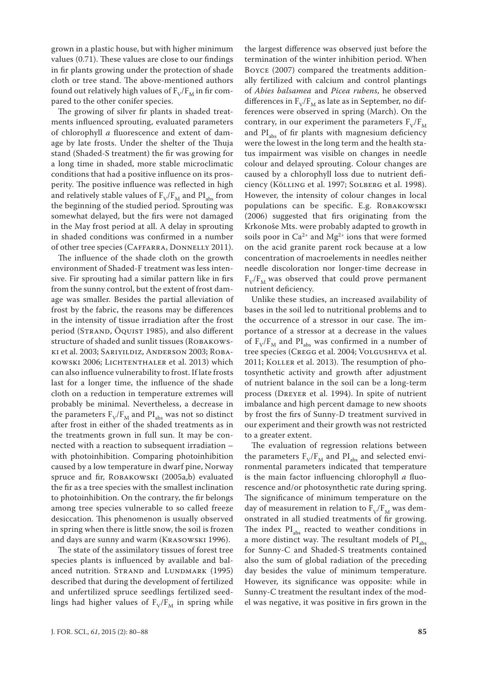grown in a plastic house, but with higher minimum values (0.71). These values are close to our findings in fir plants growing under the protection of shade cloth or tree stand. The above-mentioned authors found out relatively high values of  $F_V/F_M$  in fir compared to the other conifer species.

The growing of silver fir plants in shaded treatments influenced sprouting, evaluated parameters of chlorophyll *a* fluorescence and extent of damage by late frosts. Under the shelter of the Thuja stand (Shaded-S treatment) the fir was growing for a long time in shaded, more stable microclimatic conditions that had a positive influence on its prosperity. The positive influence was reflected in high and relatively stable values of  $F_V/F_M$  and PI<sub>abs</sub> from the beginning of the studied period. Sprouting was somewhat delayed, but the firs were not damaged in the May frost period at all. A delay in sprouting in shaded conditions was confirmed in a number of other tree species (Caffarra, Donnelly 2011).

The influence of the shade cloth on the growth environment of Shaded-F treatment was less intensive. Fir sprouting had a similar pattern like in firs from the sunny control, but the extent of frost damage was smaller. Besides the partial alleviation of frost by the fabric, the reasons may be differences in the intensity of tissue irradiation after the frost period (Strand, Öquist 1985), and also different structure of shaded and sunlit tissues (ROBAKOWSki et al. 2003; Sariyildiz, Anderson 2003; Robakowski 2006; Lichtenthaler et al. 2013) which can also influence vulnerability to frost. If late frosts last for a longer time, the influence of the shade cloth on a reduction in temperature extremes will probably be minimal. Nevertheless, a decrease in the parameters  $F_V/F_M$  and  $PI_{abs}$  was not so distinct after frost in either of the shaded treatments as in the treatments grown in full sun. It may be connected with a reaction to subsequent irradiation – with photoinhibition. Comparing photoinhibition caused by a low temperature in dwarf pine, Norway spruce and fir, Robakowski (2005a,b) evaluated the fir as a tree species with the smallest inclination to photoinhibition. On the contrary, the fir belongs among tree species vulnerable to so called freeze desiccation. This phenomenon is usually observed in spring when there is little snow, the soil is frozen and days are sunny and warm (Krasowski 1996).

The state of the assimilatory tissues of forest tree species plants is influenced by available and balanced nutrition. STRAND and LUNDMARK (1995) described that during the development of fertilized and unfertilized spruce seedlings fertilized seedlings had higher values of  $F_V/F_M$  in spring while

the largest difference was observed just before the termination of the winter inhibition period. When Boyce (2007) compared the treatments additionally fertilized with calcium and control plantings of *Abies balsamea* and *Picea rubens*, he observed differences in  $F_v/F_M$  as late as in September, no differences were observed in spring (March). On the contrary, in our experiment the parameters  $F_v/F_M$ and  $PI<sub>abs</sub>$  of fir plants with magnesium deficiency were the lowest in the long term and the health status impairment was visible on changes in needle colour and delayed sprouting. Colour changes are caused by a chlorophyll loss due to nutrient deficiency (Kölling et al. 1997; Solberg et al. 1998). However, the intensity of colour changes in local populations can be specific. E.g. ROBAKOWSKI (2006) suggested that firs originating from the Krkonoše Mts. were probably adapted to growth in soils poor in  $Ca^{2+}$  and  $Mg^{2+}$  ions that were formed on the acid granite parent rock because at a low concentration of macroelements in needles neither needle discoloration nor longer-time decrease in  $F_{V}/F_{M}$  was observed that could prove permanent nutrient deficiency.

Unlike these studies, an increased availability of bases in the soil led to nutritional problems and to the occurrence of a stressor in our case. The importance of a stressor at a decrease in the values of  $F_V/F_M$  and PI<sub>abs</sub> was confirmed in a number of tree species (Cregg et al. 2004; Volgusheva et al. 2011; KOLLER et al. 2013). The resumption of photosynthetic activity and growth after adjustment of nutrient balance in the soil can be a long-term process (Dreyer et al. 1994). In spite of nutrient imbalance and high percent damage to new shoots by frost the firs of Sunny-D treatment survived in our experiment and their growth was not restricted to a greater extent.

The evaluation of regression relations between the parameters  $F_V/F_M$  and  $PI_{abs}$  and selected environmental parameters indicated that temperature is the main factor influencing chlorophyll *a* fluorescence and/or photosynthetic rate during spring. The significance of minimum temperature on the day of measurement in relation to  $F_V/F_M$  was demonstrated in all studied treatments of fir growing. The index  $PI<sub>abs</sub>$  reacted to weather conditions in a more distinct way. The resultant models of  $PI<sub>abs</sub>$ for Sunny-C and Shaded-S treatments contained also the sum of global radiation of the preceding day besides the value of minimum temperature. However, its significance was opposite: while in Sunny-C treatment the resultant index of the model was negative, it was positive in firs grown in the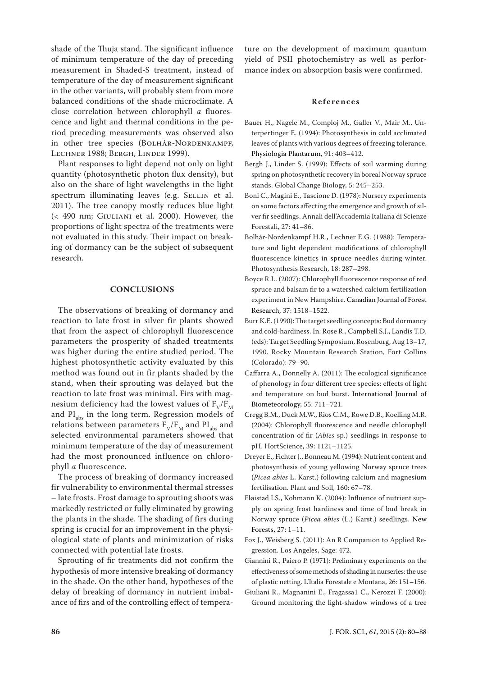shade of the Thuja stand. The significant influence of minimum temperature of the day of preceding measurement in Shaded-S treatment, instead of temperature of the day of measurement significant in the other variants, will probably stem from more balanced conditions of the shade microclimate. A close correlation between chlorophyll *a* fluorescence and light and thermal conditions in the period preceding measurements was observed also in other tree species (BOLHÁR-NORDENKAMPF, Lechner 1988; Bergh, Linder 1999).

Plant responses to light depend not only on light quantity (photosynthetic photon flux density), but also on the share of light wavelengths in the light spectrum illuminating leaves (e.g. SELLIN et al. 2011). The tree canopy mostly reduces blue light  $\langle$  490 nm; GIULIANI et al. 2000). However, the proportions of light spectra of the treatments were not evaluated in this study. Their impact on breaking of dormancy can be the subject of subsequent research.

#### **CONCLUSIONS**

The observations of breaking of dormancy and reaction to late frost in silver fir plants showed that from the aspect of chlorophyll fluorescence parameters the prosperity of shaded treatments was higher during the entire studied period. The highest photosynthetic activity evaluated by this method was found out in fir plants shaded by the stand, when their sprouting was delayed but the reaction to late frost was minimal. Firs with magnesium deficiency had the lowest values of  $F_V/F_M$ and  $PI<sub>abs</sub>$  in the long term. Regression models of relations between parameters  $F_V/F_M$  and  $PI_{abs}$  and selected environmental parameters showed that minimum temperature of the day of measurement had the most pronounced influence on chlorophyll *a* fluorescence.

The process of breaking of dormancy increased fir vulnerability to environmental thermal stresses – late frosts. Frost damage to sprouting shoots was markedly restricted or fully eliminated by growing the plants in the shade. The shading of firs during spring is crucial for an improvement in the physiological state of plants and minimization of risks connected with potential late frosts.

Sprouting of fir treatments did not confirm the hypothesis of more intensive breaking of dormancy in the shade. On the other hand, hypotheses of the delay of breaking of dormancy in nutrient imbalance of firs and of the controlling effect of tempera-

ture on the development of maximum quantum yield of PSII photochemistry as well as performance index on absorption basis were confirmed.

### **References**

- Bauer H., Nagele M., Comploj M., Galler V., Mair M., Unterpertinger E. (1994): Photosynthesis in cold acclimated leaves of plants with various degrees of freezing tolerance. Physiologia Plantarum, 91: 403–412.
- Bergh J., Linder S. (1999): Effects of soil warming during spring on photosynthetic recovery in boreal Norway spruce stands. Global Change Biology, 5: 245–253.
- Boni C., Magini E., Tascione D. (1978): Nursery experiments on some factors affecting the emergence and growth of silver fir seedlings. Annali dell'Accademia Italiana di Scienze Forestali, 27: 41–86.
- Bolhár-Nordenkampf H.R., Lechner E.G. (1988): Temperature and light dependent modifications of chlorophyll fluorescence kinetics in spruce needles during winter. Photosynthesis Research, 18: 287–298.
- Boyce R.L. (2007): Chlorophyll fluorescence response of red spruce and balsam fir to a watershed calcium fertilization experiment in New Hampshire. Canadian Journal of Forest Research, 37: 1518–1522.
- Burr K.E. (1990): The target seedling concepts: Bud dormancy and cold-hardiness. In: Rose R., Campbell S.J., Landis T.D. (eds): Target Seedling Symposium, Rosenburg, Aug 13–17, 1990. Rocky Mountain Research Station, Fort Collins (Colorado): 79–90.
- Caffarra A., Donnelly A. (2011): The ecological significance of phenology in four different tree species: effects of light and temperature on bud burst. International Journal of Biometeorology, 55: 711–721.
- Cregg B.M., Duck M.W., Rios C.M., Rowe D.B., Koelling M.R. (2004): Chlorophyll fluorescence and needle chlorophyll concentration of fir (*Abies* sp.) seedlings in response to pH. HortScience, 39: 1121–1125.
- Dreyer E., Fichter J., Bonneau M. (1994): Nutrient content and photosynthesis of young yellowing Norway spruce trees (*Picea abies* L. Karst.) following calcium and magnesium fertilisation. Plant and Soil, 160: 67–78.
- Fløistad I.S., Kohmann K. (2004): Influence of nutrient supply on spring frost hardiness and time of bud break in Norway spruce (*Picea abies* (L.) Karst.) seedlings. New Forests, 27: 1–11.
- Fox J., Weisberg S. (2011): An R Companion to Applied Regression. Los Angeles, Sage: 472.
- Giannini R., Paiero P. (1971): Preliminary experiments on the effectiveness of some methods of shading in nurseries: the use of plastic netting. L'Italia Forestale e Montana, 26: 151–156.
- Giuliani R., Magnanini E., Fragassa1 C., Nerozzi F. (2000): Ground monitoring the light-shadow windows of a tree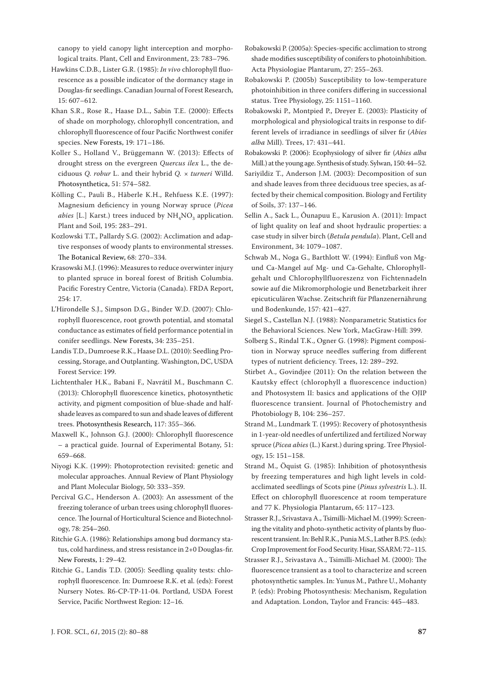canopy to yield canopy light interception and morphological traits. Plant, Cell and Environment, 23: 783–796.

- Hawkins C.D.B., Lister G.R. (1985): *In vivo* chlorophyll fluorescence as a possible indicator of the dormancy stage in Douglas-fir seedlings. Canadian Journal of Forest Research, 15: 607–612.
- Khan S.R., Rose R., Haase D.L., Sabin T.E. (2000): Effects of shade on morphology, chlorophyll concentration, and chlorophyll fluorescence of four Pacific Northwest conifer species. New Forests, 19: 171–186.
- Koller S., Holland V., Brüggemann W. (2013): Effects of drought stress on the evergreen *Quercus ilex* L., the deciduous *Q. robur* L. and their hybrid *Q. × turneri* Willd. Photosynthetica, 51: 574–582.
- Kölling C., Pauli B., Häberle K.H., Rehfuess K.E. (1997): Magnesium deficiency in young Norway spruce (*Picea abies* [L.] Karst.) trees induced by  $\text{NH}_4\text{NO}_3$  application. Plant and Soil, 195: 283–291.
- Kozlowski T.T., Pallardy S.G. (2002): Acclimation and adaptive responses of woody plants to environmental stresses. The Botanical Review, 68: 270–334.
- Krasowski M.J. (1996): Measures to reduce overwinter injury to planted spruce in boreal forest of British Columbia. Pacific Forestry Centre, Victoria (Canada). FRDA Report, 254: 17.
- L'Hirondelle S.J., Simpson D.G., Binder W.D. (2007): Chlorophyll fluorescence, root growth potential, and stomatal conductance as estimates of field performance potential in conifer seedlings. New Forests, 34: 235–251.
- Landis T.D., Dumroese R.K., Haase D.L. (2010): Seedling Processing, Storage, and Outplanting. Washington, DC, USDA Forest Service: 199.
- Lichtenthaler H.K., Babani F., Navrátil M., Buschmann C. (2013): Chlorophyll fluorescence kinetics, photosynthetic activity, and pigment composition of blue-shade and halfshade leaves as compared to sun and shade leaves of different trees. Photosynthesis Research, 117: 355–366.
- Maxwell K., Johnson G.J. (2000): Chlorophyll fluorescence – a practical guide. Journal of Experimental Botany, 51: 659–668.
- Niyogi K.K. (1999): Photoprotection revisited: genetic and molecular approaches. Annual Review of Plant Physiology and Plant Molecular Biology, 50: 333–359.
- Percival G.C., Henderson A. (2003): An assessment of the freezing tolerance of urban trees using chlorophyll fluorescence. The Journal of Horticultural Science and Biotechnology, 78: 254–260.
- Ritchie G.A. (1986): Relationships among bud dormancy status, cold hardiness, and stress resistance in 2+0 Douglas-fir. New Forests, 1: 29–42.
- Ritchie G., Landis T.D. (2005): Seedling quality tests: chlorophyll fluorescence. In: Dumroese R.K. et al. (eds): Forest Nursery Notes. R6-CP-TP-11-04. Portland, USDA Forest Service, Pacific Northwest Region: 12–16.
- Robakowski P. (2005a): Species-specific acclimation to strong shade modifies susceptibility of conifers to photoinhibition. Acta Physiologiae Plantarum, 27: 255–263.
- Robakowski P. (2005b) Susceptibility to low-temperature photoinhibition in three conifers differing in successional status. Tree Physiology, 25: 1151–1160.
- Robakowski P., Montpied P., Dreyer E. (2003): Plasticity of morphological and physiological traits in response to different levels of irradiance in seedlings of silver fir (*Abies alba* Mill). Trees, 17: 431–441.
- Robakowski P. (2006): Ecophysiology of silver fir (*Abies alba* Mill.) at the young age. Synthesis of study. Sylwan, 150: 44–52.
- Sariyildiz T., Anderson J.M. (2003): Decomposition of sun and shade leaves from three deciduous tree species, as affected by their chemical composition. Biology and Fertility of Soils, 37: 137–146.
- Sellin A., Sack L., Õunapuu E., Karusion A. (2011): Impact of light quality on leaf and shoot hydraulic properties: a case study in silver birch (*Betula pendula*). Plant, Cell and Environment, 34: 1079–1087.
- Schwab M., Noga G., Barthlott W. (1994): Einfluß von Mgund Ca-Mangel auf Mg- und Ca-Gehalte, Chlorophyllgehalt und Chlorophyllfluoreszenz von Fichtennadeln sowie auf die Mikromorphologie und Benetzbarkeit ihrer epicuticulären Wachse. Zeitschrift für Pflanzenernährung und Bodenkunde, 157: 421–427.
- Siegel S., Castellan N.J. (1988): Nonparametric Statistics for the Behavioral Sciences. New York, MacGraw-Hill: 399.
- Solberg S., Rindal T.K., Ogner G. (1998): Pigment composition in Norway spruce needles suffering from different types of nutrient deficiency. Trees, 12: 289–292.
- Stirbet A., Govindjee (2011): On the relation between the Kautsky effect (chlorophyll a fluorescence induction) and Photosystem II: basics and applications of the OJIP fluorescence transient. Journal of Photochemistry and Photobiology B, 104: 236–257.
- Strand M., Lundmark T. (1995): Recovery of photosynthesis in 1-year-old needles of unfertilized and fertilized Norway spruce (*Picea abies* (L.) Karst.) during spring. Tree Physiology, 15: 151–158.
- Strand M., Öquist G. (1985): Inhibition of photosynthesis by freezing temperatures and high light levels in coldacclimated seedlings of Scots pine (*Pinus sylvestris* L.). II. Effect on chlorophyll fluorescence at room temperature and 77 K. Physiologia Plantarum, 65: 117–123.
- Strasser R.J., Srivastava A., Tsimilli-Michael M. (1999): Screening the vitality and photo-synthetic activity of plants by fluorescent transient. In: Behl R.K., Punia M.S., Lather B.P.S. (eds): Crop Improvement for Food Security. Hisar, SSARM: 72–115.
- Strasser R.J., Srivastava A., Tsimilli-Michael M. (2000): The fluorescence transient as a tool to characterize and screen photosynthetic samples. In: Yunus M., Pathre U., Mohanty P. (eds): Probing Photosynthesis: Mechanism, Regulation and Adaptation. London, Taylor and Francis: 445–483.